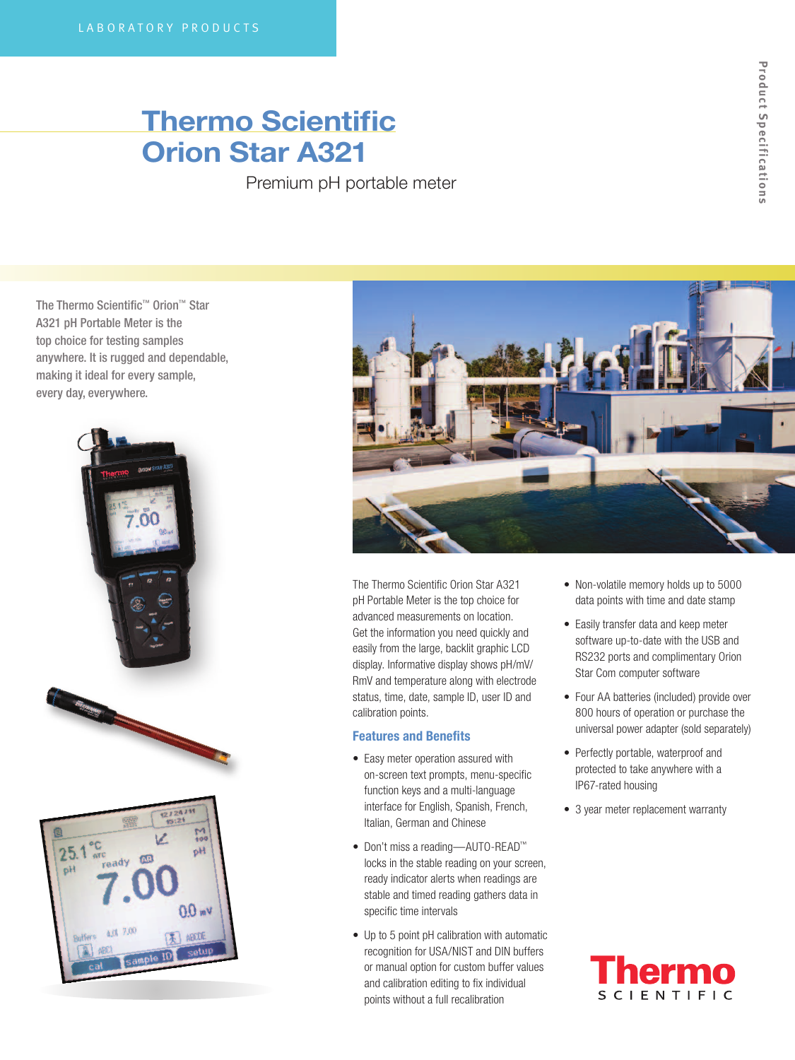## Thermo Scientific Orion Star A321

Premium pH portable meter

The Thermo Scientific™ Orion™ Star A321 pH Portable Meter is the top choice for testing samples anywhere. It is rugged and dependable, making it ideal for every sample, every day, everywhere.





The Thermo Scientific Orion Star A321 pH Portable Meter is the top choice for advanced measurements on location. Get the information you need quickly and easily from the large, backlit graphic LCD display. Informative display shows pH/mV/ RmV and temperature along with electrode status, time, date, sample ID, user ID and calibration points.

## Features and Benefits

- Easy meter operation assured with on-screen text prompts, menu-specific function keys and a multi-language interface for English, Spanish, French, Italian, German and Chinese
- • Don't miss a reading—AUTO-READ™ locks in the stable reading on your screen, ready indicator alerts when readings are stable and timed reading gathers data in specific time intervals
- Up to 5 point pH calibration with automatic recognition for USA/NIST and DIN buffers or manual option for custom buffer values and calibration editing to fix individual points without a full recalibration
- Non-volatile memory holds up to 5000 data points with time and date stamp
- Easily transfer data and keep meter software up-to-date with the USB and RS232 ports and complimentary Orion Star Com computer software
- Four AA batteries (included) provide over 800 hours of operation or purchase the universal power adapter (sold separately)
- Perfectly portable, waterproof and protected to take anywhere with a IP67-rated housing
- 3 year meter replacement warranty